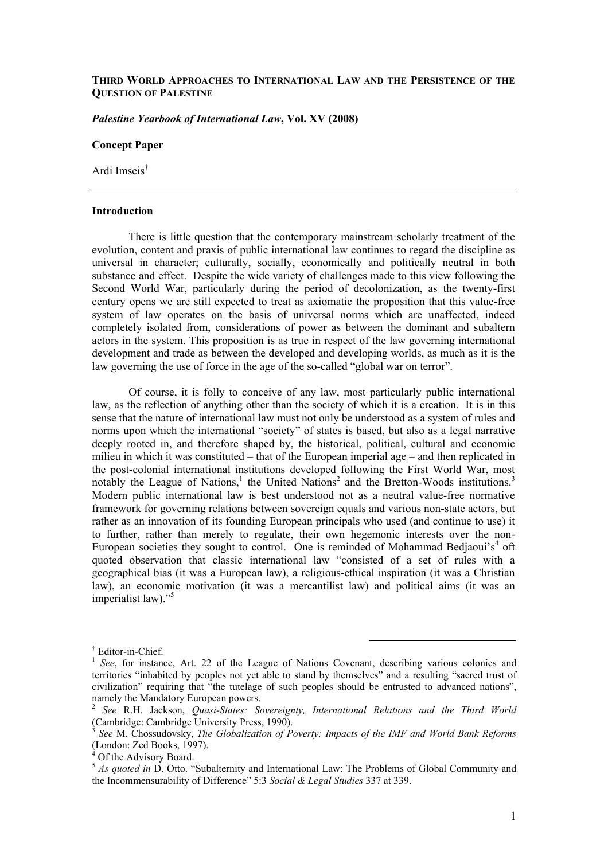# **THIRD WORLD APPROACHES TO INTERNATIONAL LAW AND THE PERSISTENCE OF THE QUESTION OF PALESTINE**

# *Palestine Yearbook of International Law***, Vol. XV (2008)**

### **Concept Paper**

Ardi Imseis†

#### **Introduction**

There is little question that the contemporary mainstream scholarly treatment of the evolution, content and praxis of public international law continues to regard the discipline as universal in character; culturally, socially, economically and politically neutral in both substance and effect. Despite the wide variety of challenges made to this view following the Second World War, particularly during the period of decolonization, as the twenty-first century opens we are still expected to treat as axiomatic the proposition that this value-free system of law operates on the basis of universal norms which are unaffected, indeed completely isolated from, considerations of power as between the dominant and subaltern actors in the system. This proposition is as true in respect of the law governing international development and trade as between the developed and developing worlds, as much as it is the law governing the use of force in the age of the so-called "global war on terror".

Of course, it is folly to conceive of any law, most particularly public international law, as the reflection of anything other than the society of which it is a creation. It is in this sense that the nature of international law must not only be understood as a system of rules and norms upon which the international "society" of states is based, but also as a legal narrative deeply rooted in, and therefore shaped by, the historical, political, cultural and economic milieu in which it was constituted – that of the European imperial age – and then replicated in the post-colonial international institutions developed following the First World War, most notably the League of Nations,<sup>1</sup> the United Nations<sup>2</sup> and the Bretton-Woods institutions.<sup>3</sup> Modern public international law is best understood not as a neutral value-free normative framework for governing relations between sovereign equals and various non-state actors, but rather as an innovation of its founding European principals who used (and continue to use) it to further, rather than merely to regulate, their own hegemonic interests over the non-European societies they sought to control. One is reminded of Mohammad Bedjaoui's<sup>4</sup> oft quoted observation that classic international law "consisted of a set of rules with a geographical bias (it was a European law), a religious-ethical inspiration (it was a Christian law), an economic motivation (it was a mercantilist law) and political aims (it was an imperialist law)."<sup>5</sup>

 $\ddagger$  Editor in Chief Editor-in-Chief.

<sup>&</sup>lt;sup>1</sup> See, for instance, Art. 22 of the League of Nations Covenant, describing various colonies and territories "inhabited by peoples not yet able to stand by themselves" and a resulting "sacred trust of civilization" requiring that "the tutelage of such peoples should be entrusted to advanced nations", namely the Mandatory European powers.

<sup>2</sup> *See* R.H. Jackson, *Quasi-States: Sovereignty, International Relations and the Third World* (Cambridge: Cambridge University Press, 1990).

<sup>3</sup> *See* M. Chossudovsky, *The Globalization of Poverty: Impacts of the IMF and World Bank Reforms* (London: Zed Books, 1997).

<sup>4</sup> Of the Advisory Board.

<sup>&</sup>lt;sup>5</sup> *As quoted in* D. Otto. "Subalternity and International Law: The Problems of Global Community and the Incommensurability of Difference" 5:3 *Social & Legal Studies* 337 at 339.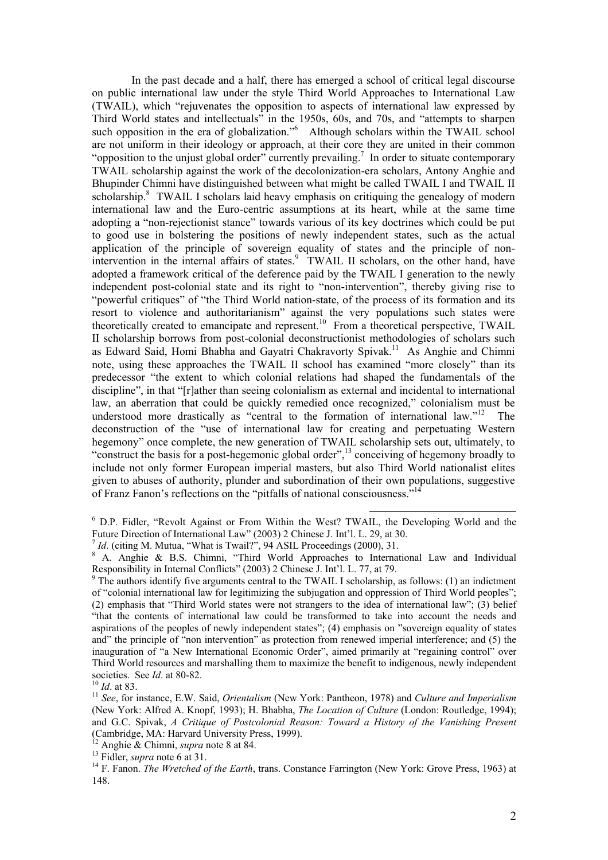In the past decade and a half, there has emerged a school of critical legal discourse on public international law under the style Third World Approaches to International Law (TWAIL), which "rejuvenates the opposition to aspects of international law expressed by Third World states and intellectuals<sup>3</sup> in the 1950s, 60s, and 70s, and "attempts to sharpen such opposition in the era of globalization."<sup>6</sup> Although scholars within the TWAIL school are not uniform in their ideology or approach, at their core they are united in their common "opposition to the unjust global order" currently prevailing.<sup>7</sup> In order to situate contemporary TWAIL scholarship against the work of the decolonization-era scholars, Antony Anghie and Bhupinder Chimni have distinguished between what might be called TWAIL I and TWAIL II scholarship.<sup>8</sup> TWAIL I scholars laid heavy emphasis on critiquing the genealogy of modern international law and the Euro-centric assumptions at its heart, while at the same time adopting a "non-rejectionist stance" towards various of its key doctrines which could be put to good use in bolstering the positions of newly independent states, such as the actual application of the principle of sovereign equality of states and the principle of nonintervention in the internal affairs of states.<sup>9</sup> TWAIL II scholars, on the other hand, have adopted a framework critical of the deference paid by the TWAIL I generation to the newly independent post-colonial state and its right to "non-intervention", thereby giving rise to "powerful critiques" of "the Third World nation-state, of the process of its formation and its resort to violence and authoritarianism" against the very populations such states were theoretically created to emancipate and represent.<sup>10</sup> From a theoretical perspective, TWAIL II scholarship borrows from post-colonial deconstructionist methodologies of scholars such as Edward Said, Homi Bhabha and Gayatri Chakravorty Spivak.<sup>11</sup> As Anghie and Chimni note, using these approaches the TWAIL II school has examined "more closely" than its predecessor "the extent to which colonial relations had shaped the fundamentals of the discipline", in that "[r]ather than seeing colonialism as external and incidental to international law, an aberration that could be quickly remedied once recognized," colonialism must be understood more drastically as "central to the formation of international law."<sup>12</sup> The deconstruction of the "use of international law for creating and perpetuating Western hegemony" once complete, the new generation of TWAIL scholarship sets out, ultimately, to "construct the basis for a post-hegemonic global order",13 conceiving of hegemony broadly to include not only former European imperial masters, but also Third World nationalist elites given to abuses of authority, plunder and subordination of their own populations, suggestive of Franz Fanon's reflections on the "pitfalls of national consciousness."

 <sup>6</sup> D.P. Fidler, "Revolt Against or From Within the West? TWAIL, the Developing World and the Future Direction of International Law" (2003) 2 Chinese J. Int'l. L. 29, at 30.

<sup>&</sup>lt;sup>7</sup> *Id.* (citing M. Mutua, "What is Twail?", 94 ASIL Proceedings (2000), 31.<br><sup>8</sup> A. Anghie & B.S. Chimni, "Third World Approaches to International Law and Individual Responsibility in Internal Conflicts" (2003) 2 Chinese J. Int'l. L. 77, at 79.

 $9$ <sup>9</sup> The authors identify five arguments central to the TWAIL I scholarship, as follows: (1) an indictment of "colonial international law for legitimizing the subjugation and oppression of Third World peoples"; (2) emphasis that "Third World states were not strangers to the idea of international law"; (3) belief "that the contents of international law could be transformed to take into account the needs and aspirations of the peoples of newly independent states"; (4) emphasis on "sovereign equality of states and" the principle of "non intervention" as protection from renewed imperial interference; and (5) the inauguration of "a New International Economic Order", aimed primarily at "regaining control" over Third World resources and marshalling them to maximize the benefit to indigenous, newly independent societies. See  $Id$ . at 80-82.

<sup>&</sup>lt;sup>10</sup> *Id.* at 83. 11 *See*, for instance, E.W. Said, *Orientalism* (New York: Pantheon, 1978) and *Culture and Imperialism* (New York: Alfred A. Knopf, 1993); H. Bhabha, *The Location of Culture* (London: Routledge, 1994); and G.C. Spivak, *A Critique of Postcolonial Reason: Toward a History of the Vanishing Present* (Cambridge, MA: Harvard University Press, 1999).<br><sup>12</sup> Anghie & Chimni, *supra* note 8 at 84.

<sup>13</sup> Fidler, *supra* note 6 at 31.<br><sup>14</sup> F. Fanon. *The Wretched of the Earth*, trans. Constance Farrington (New York: Grove Press, 1963) at 148.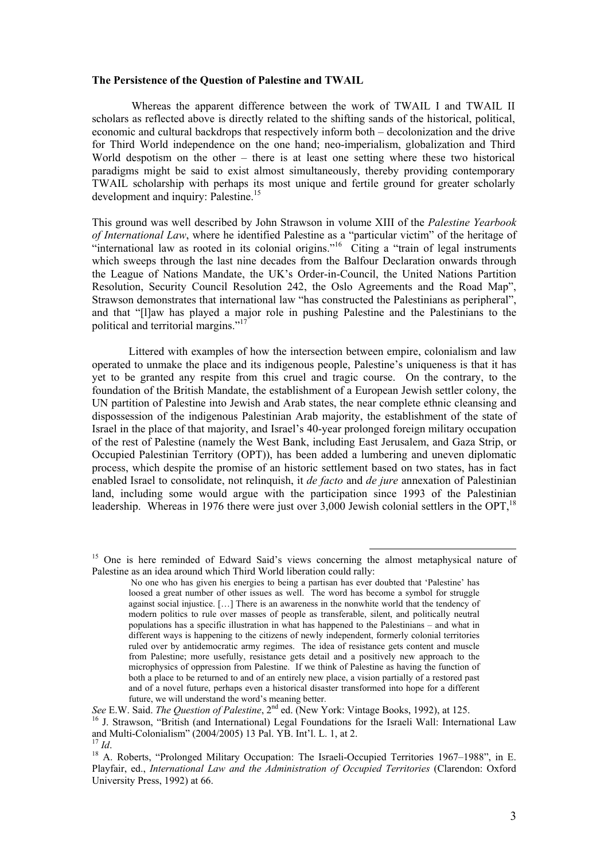#### **The Persistence of the Question of Palestine and TWAIL**

 Whereas the apparent difference between the work of TWAIL I and TWAIL II scholars as reflected above is directly related to the shifting sands of the historical, political, economic and cultural backdrops that respectively inform both – decolonization and the drive for Third World independence on the one hand; neo-imperialism, globalization and Third World despotism on the other – there is at least one setting where these two historical paradigms might be said to exist almost simultaneously, thereby providing contemporary TWAIL scholarship with perhaps its most unique and fertile ground for greater scholarly development and inquiry: Palestine.<sup>15</sup>

This ground was well described by John Strawson in volume XIII of the *Palestine Yearbook of International Law*, where he identified Palestine as a "particular victim" of the heritage of "international law as rooted in its colonial origins."<sup>16</sup> Citing a "train of legal instruments which sweeps through the last nine decades from the Balfour Declaration onwards through the League of Nations Mandate, the UK's Order-in-Council, the United Nations Partition Resolution, Security Council Resolution 242, the Oslo Agreements and the Road Map", Strawson demonstrates that international law "has constructed the Palestinians as peripheral", and that "[l]aw has played a major role in pushing Palestine and the Palestinians to the political and territorial margins."17

 Littered with examples of how the intersection between empire, colonialism and law operated to unmake the place and its indigenous people, Palestine's uniqueness is that it has yet to be granted any respite from this cruel and tragic course. On the contrary, to the foundation of the British Mandate, the establishment of a European Jewish settler colony, the UN partition of Palestine into Jewish and Arab states, the near complete ethnic cleansing and dispossession of the indigenous Palestinian Arab majority, the establishment of the state of Israel in the place of that majority, and Israel's 40-year prolonged foreign military occupation of the rest of Palestine (namely the West Bank, including East Jerusalem, and Gaza Strip, or Occupied Palestinian Territory (OPT)), has been added a lumbering and uneven diplomatic process, which despite the promise of an historic settlement based on two states, has in fact enabled Israel to consolidate, not relinquish, it *de facto* and *de jure* annexation of Palestinian land, including some would argue with the participation since 1993 of the Palestinian leadership. Whereas in 1976 there were just over  $3,000$  Jewish colonial settlers in the OPT,<sup>18</sup>

<sup>&</sup>lt;sup>15</sup> One is here reminded of Edward Said's views concerning the almost metaphysical nature of Palestine as an idea around which Third World liberation could rally:

No one who has given his energies to being a partisan has ever doubted that 'Palestine' has loosed a great number of other issues as well. The word has become a symbol for struggle against social injustice. […] There is an awareness in the nonwhite world that the tendency of modern politics to rule over masses of people as transferable, silent, and politically neutral populations has a specific illustration in what has happened to the Palestinians – and what in different ways is happening to the citizens of newly independent, formerly colonial territories ruled over by antidemocratic army regimes. The idea of resistance gets content and muscle from Palestine; more usefully, resistance gets detail and a positively new approach to the microphysics of oppression from Palestine. If we think of Palestine as having the function of both a place to be returned to and of an entirely new place, a vision partially of a restored past and of a novel future, perhaps even a historical disaster transformed into hope for a different future, we will understand the word's meaning better.

*See* E.W. Said. *The Question of Palestine*, 2<sup>nd</sup> ed. (New York: Vintage Books, 1992), at 125.<br><sup>16</sup> J. Strawson, "British (and International) Legal Foundations for the Israeli Wall: International Law and Multi-Colonialis

and Multi-Colonialism Colonialism<br><sup>18</sup> A. Roberts, "Prolonged Military Occupation: The Israeli-Occupied Territories 1967–1988", in E. Playfair, ed., *International Law and the Administration of Occupied Territories* (Clarendon: Oxford University Press, 1992) at 66.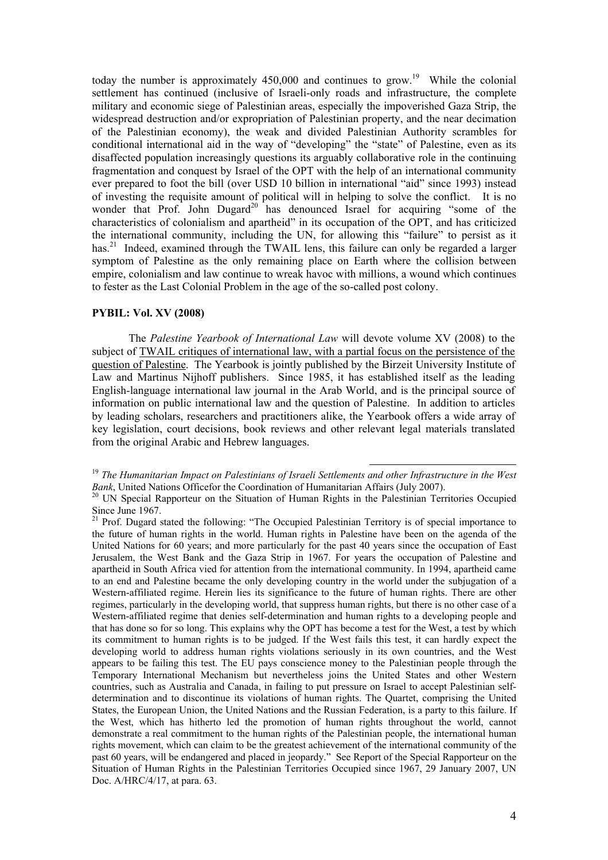today the number is approximately  $450,000$  and continues to grow.<sup>19</sup> While the colonial settlement has continued (inclusive of Israeli-only roads and infrastructure, the complete military and economic siege of Palestinian areas, especially the impoverished Gaza Strip, the widespread destruction and/or expropriation of Palestinian property, and the near decimation of the Palestinian economy), the weak and divided Palestinian Authority scrambles for conditional international aid in the way of "developing" the "state" of Palestine, even as its disaffected population increasingly questions its arguably collaborative role in the continuing fragmentation and conquest by Israel of the OPT with the help of an international community ever prepared to foot the bill (over USD 10 billion in international "aid" since 1993) instead of investing the requisite amount of political will in helping to solve the conflict. It is no wonder that Prof. John Dugard<sup>20</sup> has denounced Israel for acquiring "some of the characteristics of colonialism and apartheid" in its occupation of the OPT, and has criticized the international community, including the UN, for allowing this "failure" to persist as it has.<sup>21</sup> Indeed, examined through the TWAIL lens, this failure can only be regarded a larger symptom of Palestine as the only remaining place on Earth where the collision between empire, colonialism and law continue to wreak havoc with millions, a wound which continues to fester as the Last Colonial Problem in the age of the so-called post colony.

### **PYBIL: Vol. XV (2008)**

The *Palestine Yearbook of International Law* will devote volume XV (2008) to the subject of TWAIL critiques of international law, with a partial focus on the persistence of the question of Palestine. The Yearbook is jointly published by the Birzeit University Institute of Law and Martinus Nijhoff publishers. Since 1985, it has established itself as the leading English-language international law journal in the Arab World, and is the principal source of information on public international law and the question of Palestine. In addition to articles by leading scholars, researchers and practitioners alike, the Yearbook offers a wide array of key legislation, court decisions, book reviews and other relevant legal materials translated from the original Arabic and Hebrew languages.

<sup>&</sup>lt;sup>19</sup> *The Humanitarian Impact on Palestinians of Israeli Settlements and other Infrastructure in the West Bank.* United Nations Officefor the Coordination of Humanitarian Affairs (July 2007).

<sup>&</sup>lt;sup>20</sup> UN Special Rapporteur on the Situation of Human Rights in the Palestinian Territories Occupied Since June 1967.

 $21$  Prof. Dugard stated the following: "The Occupied Palestinian Territory is of special importance to the future of human rights in the world. Human rights in Palestine have been on the agenda of the United Nations for 60 years; and more particularly for the past 40 years since the occupation of East Jerusalem, the West Bank and the Gaza Strip in 1967. For years the occupation of Palestine and apartheid in South Africa vied for attention from the international community. In 1994, apartheid came to an end and Palestine became the only developing country in the world under the subjugation of a Western-affiliated regime. Herein lies its significance to the future of human rights. There are other regimes, particularly in the developing world, that suppress human rights, but there is no other case of a Western-affiliated regime that denies self-determination and human rights to a developing people and that has done so for so long. This explains why the OPT has become a test for the West, a test by which its commitment to human rights is to be judged. If the West fails this test, it can hardly expect the developing world to address human rights violations seriously in its own countries, and the West appears to be failing this test. The EU pays conscience money to the Palestinian people through the Temporary International Mechanism but nevertheless joins the United States and other Western countries, such as Australia and Canada, in failing to put pressure on Israel to accept Palestinian selfdetermination and to discontinue its violations of human rights. The Quartet, comprising the United States, the European Union, the United Nations and the Russian Federation, is a party to this failure. If the West, which has hitherto led the promotion of human rights throughout the world, cannot demonstrate a real commitment to the human rights of the Palestinian people, the international human rights movement, which can claim to be the greatest achievement of the international community of the past 60 years, will be endangered and placed in jeopardy." See Report of the Special Rapporteur on the Situation of Human Rights in the Palestinian Territories Occupied since 1967, 29 January 2007, UN Doc. A/HRC/4/17, at para. 63.